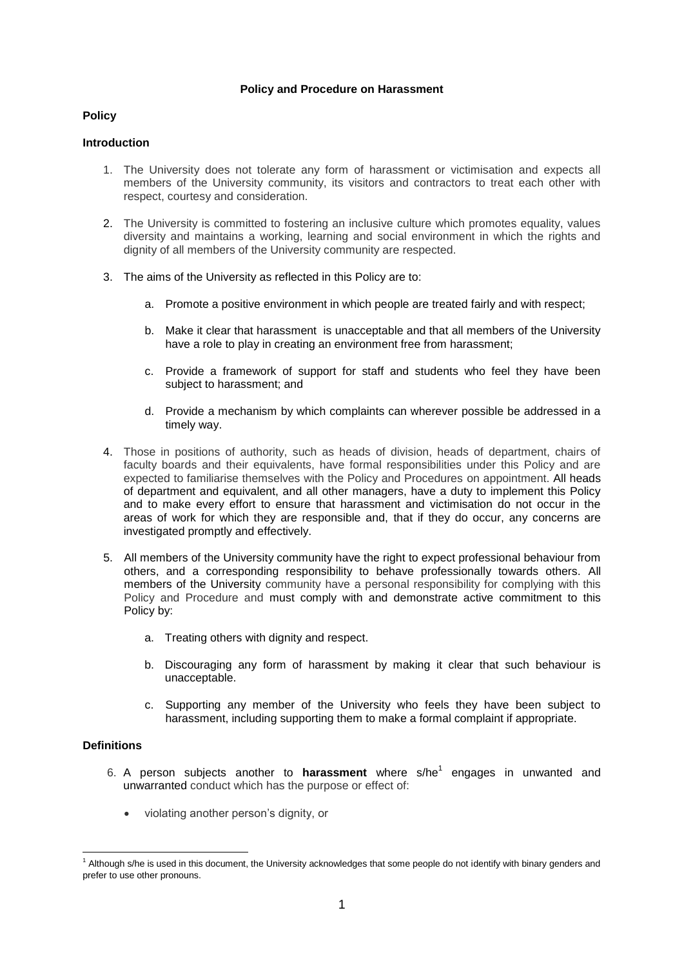### **Policy and Procedure on Harassment**

### **Policy**

### **Introduction**

- 1. The University does not tolerate any form of harassment or victimisation and expects all members of the University community, its visitors and contractors to treat each other with respect, courtesy and consideration.
- 2. The University is committed to fostering an inclusive culture which promotes equality, values diversity and maintains a working, learning and social environment in which the rights and dignity of all members of the University community are respected.
- 3. The aims of the University as reflected in this Policy are to:
	- a. Promote a positive environment in which people are treated fairly and with respect;
	- b. Make it clear that harassment is unacceptable and that all members of the University have a role to play in creating an environment free from harassment;
	- c. Provide a framework of support for staff and students who feel they have been subject to harassment; and
	- d. Provide a mechanism by which complaints can wherever possible be addressed in a timely way.
- 4. Those in positions of authority, such as heads of division, heads of department, chairs of faculty boards and their equivalents, have formal responsibilities under this Policy and are expected to familiarise themselves with the Policy and Procedures on appointment. All heads of department and equivalent, and all other managers, have a duty to implement this Policy and to make every effort to ensure that harassment and victimisation do not occur in the areas of work for which they are responsible and, that if they do occur, any concerns are investigated promptly and effectively.
- 5. All members of the University community have the right to expect professional behaviour from others, and a corresponding responsibility to behave professionally towards others. All members of the University community have a personal responsibility for complying with this Policy and Procedure and must comply with and demonstrate active commitment to this Policy by:
	- a. Treating others with dignity and respect.
	- b. Discouraging any form of harassment by making it clear that such behaviour is unacceptable.
	- c. Supporting any member of the University who feels they have been subject to harassment, including supporting them to make a formal complaint if appropriate.

# **Definitions**

- 6. A person subjects another to harassment where s/he<sup>1</sup> engages in unwanted and unwarranted conduct which has the purpose or effect of:
	- violating another person's dignity, or

<sup>&</sup>lt;sup>1</sup> Although s/he is used in this document, the University acknowledges that some people do not identify with binary genders and prefer to use other pronouns.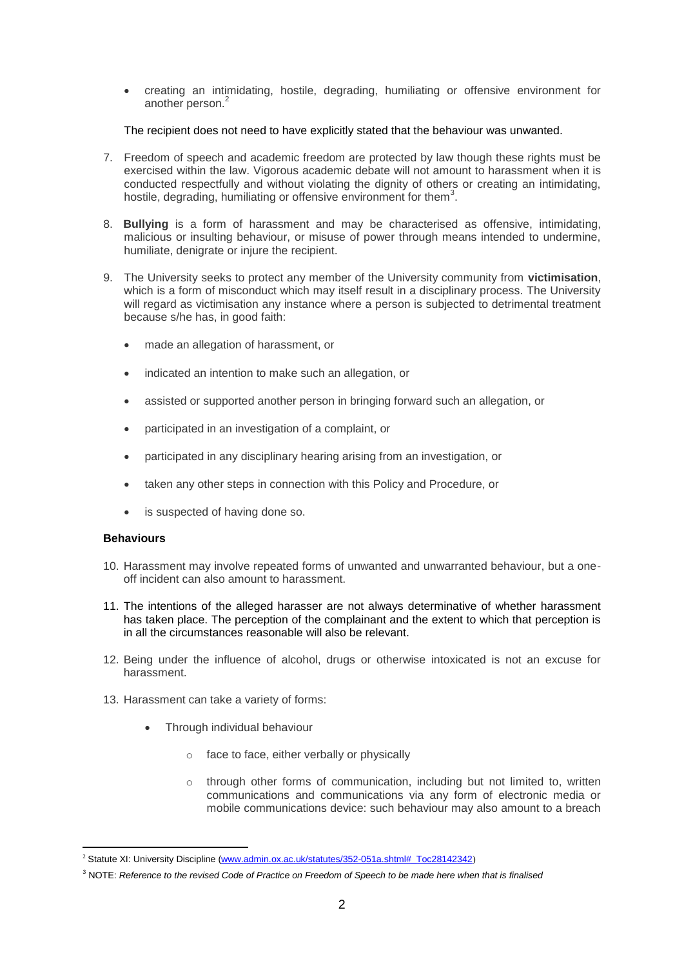creating an intimidating, hostile, degrading, humiliating or offensive environment for another person.<sup>2</sup>

The recipient does not need to have explicitly stated that the behaviour was unwanted.

- 7. Freedom of speech and academic freedom are protected by law though these rights must be exercised within the law. Vigorous academic debate will not amount to harassment when it is conducted respectfully and without violating the dignity of others or creating an intimidating, hostile, degrading, humiliating or offensive environment for them<sup>3</sup>.
- 8. **Bullying** is a form of harassment and may be characterised as offensive, intimidating, malicious or insulting behaviour, or misuse of power through means intended to undermine, humiliate, denigrate or injure the recipient.
- 9. The University seeks to protect any member of the University community from **victimisation**, which is a form of misconduct which may itself result in a disciplinary process. The University will regard as victimisation any instance where a person is subjected to detrimental treatment because s/he has, in good faith:
	- made an allegation of harassment, or
	- indicated an intention to make such an allegation, or
	- assisted or supported another person in bringing forward such an allegation, or
	- participated in an investigation of a complaint, or
	- participated in any disciplinary hearing arising from an investigation, or
	- taken any other steps in connection with this Policy and Procedure, or
	- is suspected of having done so.

#### **Behaviours**

- 10. Harassment may involve repeated forms of unwanted and unwarranted behaviour, but a oneoff incident can also amount to harassment.
- 11. The intentions of the alleged harasser are not always determinative of whether harassment has taken place. The perception of the complainant and the extent to which that perception is in all the circumstances reasonable will also be relevant.
- 12. Being under the influence of alcohol, drugs or otherwise intoxicated is not an excuse for harassment.
- 13. Harassment can take a variety of forms:
	- Through individual behaviour
		- o face to face, either verbally or physically
		- o through other forms of communication, including but not limited to, written communications and communications via any form of electronic media or mobile communications device: such behaviour may also amount to a breach

<sup>-</sup><sup>2</sup> Statute XI: University Discipline [\(www.admin.ox.ac.uk/statutes/352-051a.shtml#\\_Toc28142342](http://www.admin.ox.ac.uk/statutes/352-051a.shtml#_Toc28142342))

<sup>3</sup> NOTE: *Reference to the revised Code of Practice on Freedom of Speech to be made here when that is finalised*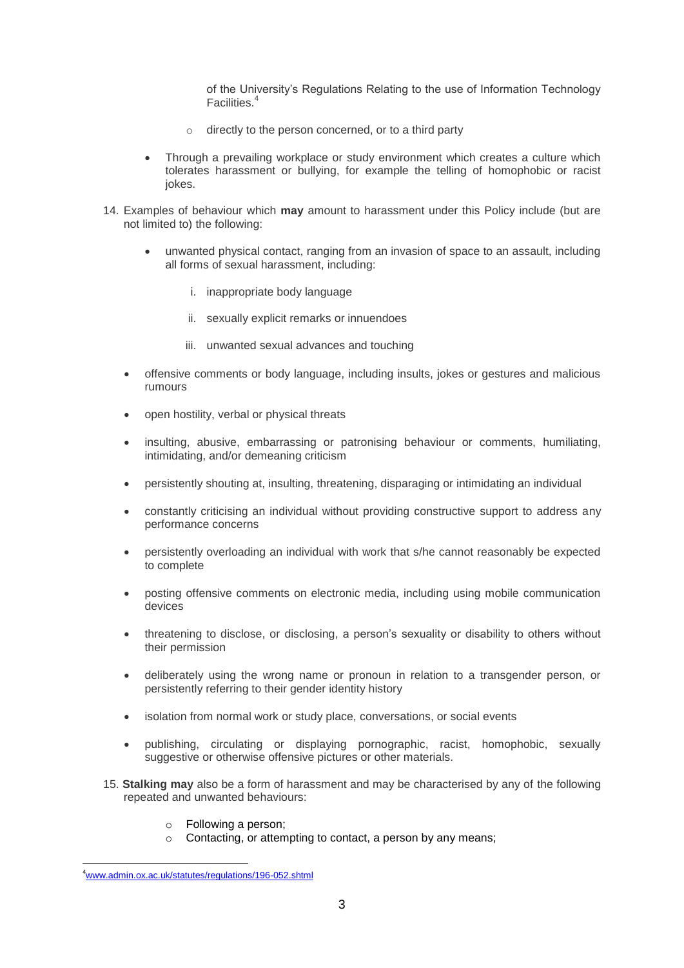of the University's Regulations Relating to the use of Information Technology Facilities.<sup>4</sup>

- o directly to the person concerned, or to a third party
- Through a prevailing workplace or study environment which creates a culture which tolerates harassment or bullying, for example the telling of homophobic or racist iokes.
- 14. Examples of behaviour which **may** amount to harassment under this Policy include (but are not limited to) the following:
	- unwanted physical contact, ranging from an invasion of space to an assault, including all forms of sexual harassment, including:
		- i. inappropriate body language
		- ii. sexually explicit remarks or innuendoes
		- iii. unwanted sexual advances and touching
	- offensive comments or body language, including insults, jokes or gestures and malicious rumours
	- open hostility, verbal or physical threats
	- insulting, abusive, embarrassing or patronising behaviour or comments, humiliating, intimidating, and/or demeaning criticism
	- persistently shouting at, insulting, threatening, disparaging or intimidating an individual
	- constantly criticising an individual without providing constructive support to address any performance concerns
	- persistently overloading an individual with work that s/he cannot reasonably be expected to complete
	- posting offensive comments on electronic media, including using mobile communication devices
	- threatening to disclose, or disclosing, a person's sexuality or disability to others without their permission
	- deliberately using the wrong name or pronoun in relation to a transgender person, or persistently referring to their gender identity history
	- isolation from normal work or study place, conversations, or social events
	- publishing, circulating or displaying pornographic, racist, homophobic, sexually suggestive or otherwise offensive pictures or other materials.
- 15. **Stalking may** also be a form of harassment and may be characterised by any of the following repeated and unwanted behaviours:
	- o Following a person;
	- o Contacting, or attempting to contact, a person by any means;

 $\overline{a}$ 

<sup>4</sup>[www.admin.ox.ac.uk/statutes/regulations/196-052.shtml](http://www.admin.ox.ac.uk/statutes/regulations/196-052.shtml)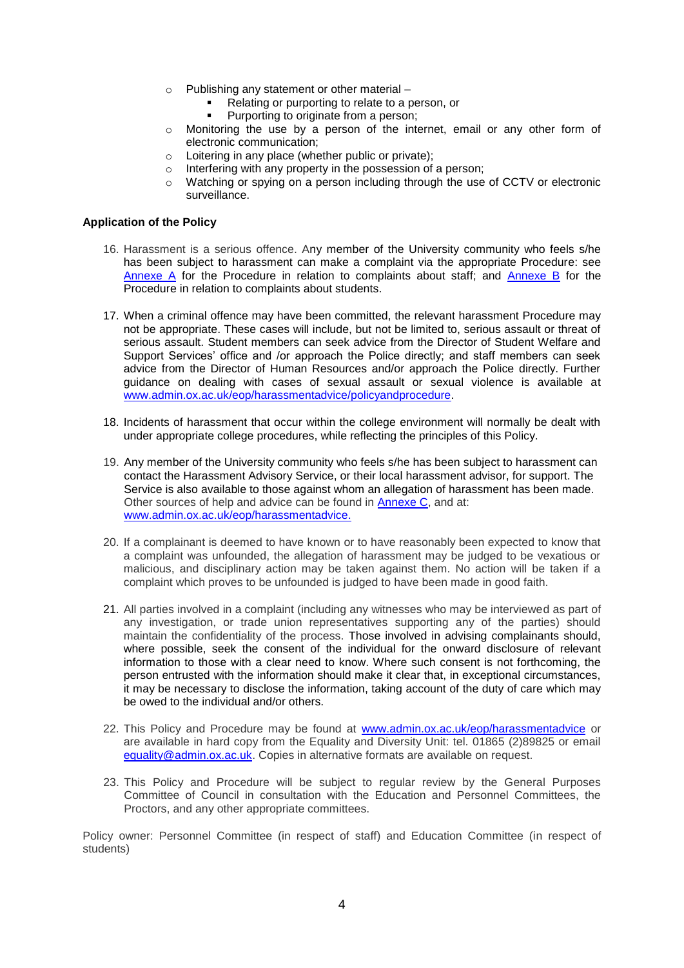- o Publishing any statement or other material
	- Relating or purporting to relate to a person, or
	- Purporting to originate from a person;
- $\circ$  Monitoring the use by a person of the internet, email or any other form of electronic communication;
- o Loitering in any place (whether public or private);
- o Interfering with any property in the possession of a person;
- $\circ$  Watching or spying on a person including through the use of CCTV or electronic surveillance.

#### **Application of the Policy**

- 16. Harassment is a serious offence. Any member of the University community who feels s/he has been subject to harassment can make a complaint via the appropriate Procedure: see [Annexe A](#page-4-0) for the Procedure in relation to complaints about staff; and [Annexe B](#page-9-0) for the Procedure in relation to complaints about students.
- 17. When a criminal offence may have been committed, the relevant harassment Procedure may not be appropriate. These cases will include, but not be limited to, serious assault or threat of serious assault. Student members can seek advice from the Director of Student Welfare and Support Services' office and /or approach the Police directly; and staff members can seek advice from the Director of Human Resources and/or approach the Police directly. Further guidance on dealing with cases of sexual assault or sexual violence is available at [www.admin.ox.ac.uk/eop/harassmentadvice/policyandprocedure.](http://www.admin.ox.ac.uk/eop/harassmentadvice/policyandprocedure)
- 18. Incidents of harassment that occur within the college environment will normally be dealt with under appropriate college procedures, while reflecting the principles of this Policy.
- 19. Any member of the University community who feels s/he has been subject to harassment can contact the Harassment Advisory Service, or their local harassment advisor, for support. The Service is also available to those against whom an allegation of harassment has been made. Other sources of help and advice can be found in [Annexe C,](#page-14-0) and at: www.admin.ox.ac.uk/eop/harassmentadvice.
- 20. If a complainant is deemed to have known or to have reasonably been expected to know that a complaint was unfounded, the allegation of harassment may be judged to be vexatious or malicious, and disciplinary action may be taken against them. No action will be taken if a complaint which proves to be unfounded is judged to have been made in good faith.
- 21. All parties involved in a complaint (including any witnesses who may be interviewed as part of any investigation, or trade union representatives supporting any of the parties) should maintain the confidentiality of the process. Those involved in advising complainants should, where possible, seek the consent of the individual for the onward disclosure of relevant information to those with a clear need to know. Where such consent is not forthcoming, the person entrusted with the information should make it clear that, in exceptional circumstances, it may be necessary to disclose the information, taking account of the duty of care which may be owed to the individual and/or others.
- 22. This Policy and Procedure may be found at [www.admin.ox.ac.uk/eop/harassmentadvice](http://www.admin.ox.ac.uk/eop/harassmentadvice) or are available in hard copy from the Equality and Diversity Unit: tel. 01865 (2)89825 or email [equality@admin.ox.ac.uk.](mailto:equality@admin.ox.ac.uk) Copies in alternative formats are available on request.
- 23. This Policy and Procedure will be subject to regular review by the General Purposes Committee of Council in consultation with the Education and Personnel Committees, the Proctors, and any other appropriate committees.

Policy owner: Personnel Committee (in respect of staff) and Education Committee (in respect of students)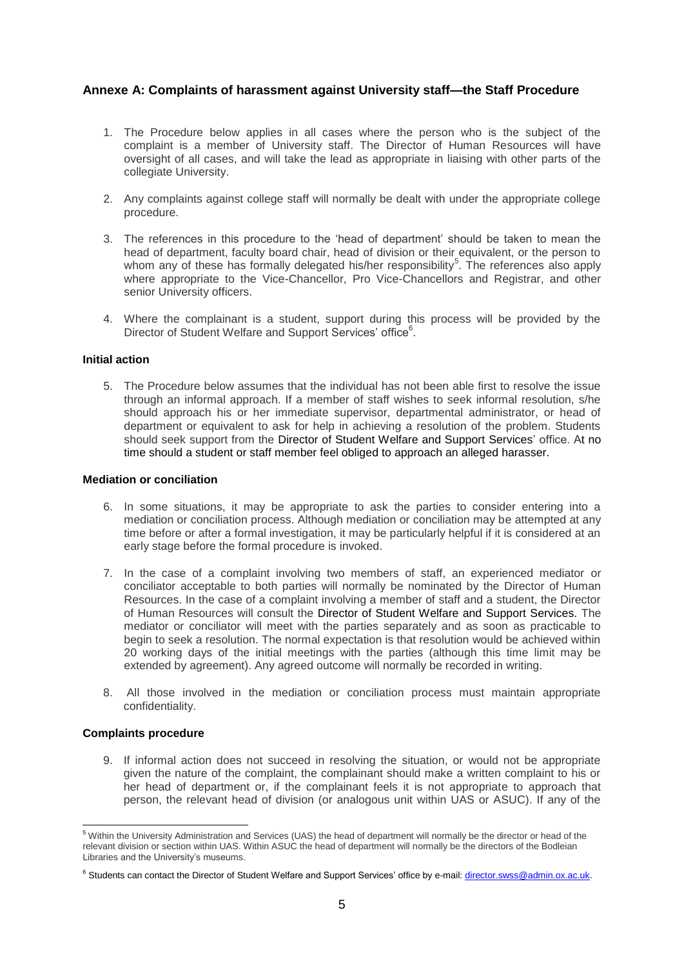# <span id="page-4-0"></span>**Annexe A: Complaints of harassment against University staff—the Staff Procedure**

- 1. The Procedure below applies in all cases where the person who is the subject of the complaint is a member of University staff. The Director of Human Resources will have oversight of all cases, and will take the lead as appropriate in liaising with other parts of the collegiate University.
- 2. Any complaints against college staff will normally be dealt with under the appropriate college procedure.
- 3. The references in this procedure to the 'head of department' should be taken to mean the head of department, faculty board chair, head of division or their equivalent, or the person to whom any of these has formally delegated his/her responsibility<sup>5</sup>. The references also apply where appropriate to the Vice-Chancellor, Pro Vice-Chancellors and Registrar, and other senior University officers.
- 4. Where the complainant is a student, support during this process will be provided by the Director of Student Welfare and Support Services' office<sup>6</sup>.

## **Initial action**

5. The Procedure below assumes that the individual has not been able first to resolve the issue through an informal approach. If a member of staff wishes to seek informal resolution, s/he should approach his or her immediate supervisor, departmental administrator, or head of department or equivalent to ask for help in achieving a resolution of the problem. Students should seek support from the Director of Student Welfare and Support Services' office. At no time should a student or staff member feel obliged to approach an alleged harasser.

#### **Mediation or conciliation**

- 6. In some situations, it may be appropriate to ask the parties to consider entering into a mediation or conciliation process. Although mediation or conciliation may be attempted at any time before or after a formal investigation, it may be particularly helpful if it is considered at an early stage before the formal procedure is invoked.
- 7. In the case of a complaint involving two members of staff, an experienced mediator or conciliator acceptable to both parties will normally be nominated by the Director of Human Resources. In the case of a complaint involving a member of staff and a student, the Director of Human Resources will consult the Director of Student Welfare and Support Services. The mediator or conciliator will meet with the parties separately and as soon as practicable to begin to seek a resolution. The normal expectation is that resolution would be achieved within 20 working days of the initial meetings with the parties (although this time limit may be extended by agreement). Any agreed outcome will normally be recorded in writing.
- 8. All those involved in the mediation or conciliation process must maintain appropriate confidentiality.

#### **Complaints procedure**

9. If informal action does not succeed in resolving the situation, or would not be appropriate given the nature of the complaint, the complainant should make a written complaint to his or her head of department or, if the complainant feels it is not appropriate to approach that person, the relevant head of division (or analogous unit within UAS or ASUC). If any of the

<sup>-</sup><sup>5</sup> Within the University Administration and Services (UAS) the head of department will normally be the director or head of the relevant division or section within UAS. Within ASUC the head of department will normally be the directors of the Bodleian Libraries and the University's museums.

<sup>6</sup> Students can contact the Director of Student Welfare and Support Services' office by e-mail[: director.swss@admin.ox.ac.uk.](mailto:director.swss@admin.ox.ac.uk)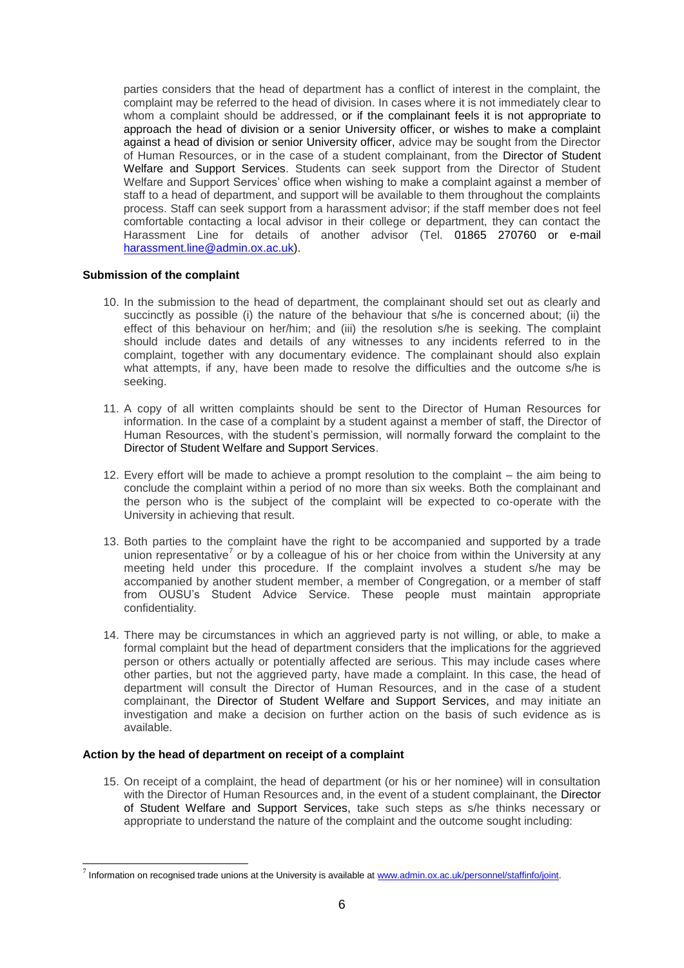parties considers that the head of department has a conflict of interest in the complaint, the complaint may be referred to the head of division. In cases where it is not immediately clear to whom a complaint should be addressed, or if the complainant feels it is not appropriate to approach the head of division or a senior University officer, or wishes to make a complaint against a head of division or senior University officer, advice may be sought from the Director of Human Resources, or in the case of a student complainant, from the Director of Student Welfare and Support Services. Students can seek support from the Director of Student Welfare and Support Services' office when wishing to make a complaint against a member of staff to a head of department, and support will be available to them throughout the complaints process. Staff can seek support from a harassment advisor; if the staff member does not feel comfortable contacting a local advisor in their college or department, they can contact the Harassment Line for details of another advisor (Tel. 01865 270760 or e-mail [harassment.line@admin.ox.ac.uk\)](mailto:harassment.line@admin.ox.ac.uk).

### **Submission of the complaint**

- 10. In the submission to the head of department, the complainant should set out as clearly and succinctly as possible (i) the nature of the behaviour that s/he is concerned about; (ii) the effect of this behaviour on her/him; and (iii) the resolution s/he is seeking. The complaint should include dates and details of any witnesses to any incidents referred to in the complaint, together with any documentary evidence. The complainant should also explain what attempts, if any, have been made to resolve the difficulties and the outcome s/he is seeking.
- 11. A copy of all written complaints should be sent to the Director of Human Resources for information. In the case of a complaint by a student against a member of staff, the Director of Human Resources, with the student's permission, will normally forward the complaint to the Director of Student Welfare and Support Services.
- 12. Every effort will be made to achieve a prompt resolution to the complaint the aim being to conclude the complaint within a period of no more than six weeks. Both the complainant and the person who is the subject of the complaint will be expected to co-operate with the University in achieving that result.
- 13. Both parties to the complaint have the right to be accompanied and supported by a trade union representative<sup>7</sup> or by a colleague of his or her choice from within the University at any meeting held under this procedure. If the complaint involves a student s/he may be accompanied by another student member, a member of Congregation, or a member of staff from OUSU's Student Advice Service. These people must maintain appropriate confidentiality.
- 14. There may be circumstances in which an aggrieved party is not willing, or able, to make a formal complaint but the head of department considers that the implications for the aggrieved person or others actually or potentially affected are serious. This may include cases where other parties, but not the aggrieved party, have made a complaint. In this case, the head of department will consult the Director of Human Resources, and in the case of a student complainant, the Director of Student Welfare and Support Services, and may initiate an investigation and make a decision on further action on the basis of such evidence as is available.

# **Action by the head of department on receipt of a complaint**

 $\overline{a}$ 

15. On receipt of a complaint, the head of department (or his or her nominee) will in consultation with the Director of Human Resources and, in the event of a student complainant, the Director of Student Welfare and Support Services, take such steps as s/he thinks necessary or appropriate to understand the nature of the complaint and the outcome sought including:

<sup>&</sup>lt;sup>7</sup> Information on recognised trade unions at the University is available at www.admin.ox.ac.uk/personnel/staffinfo/joint.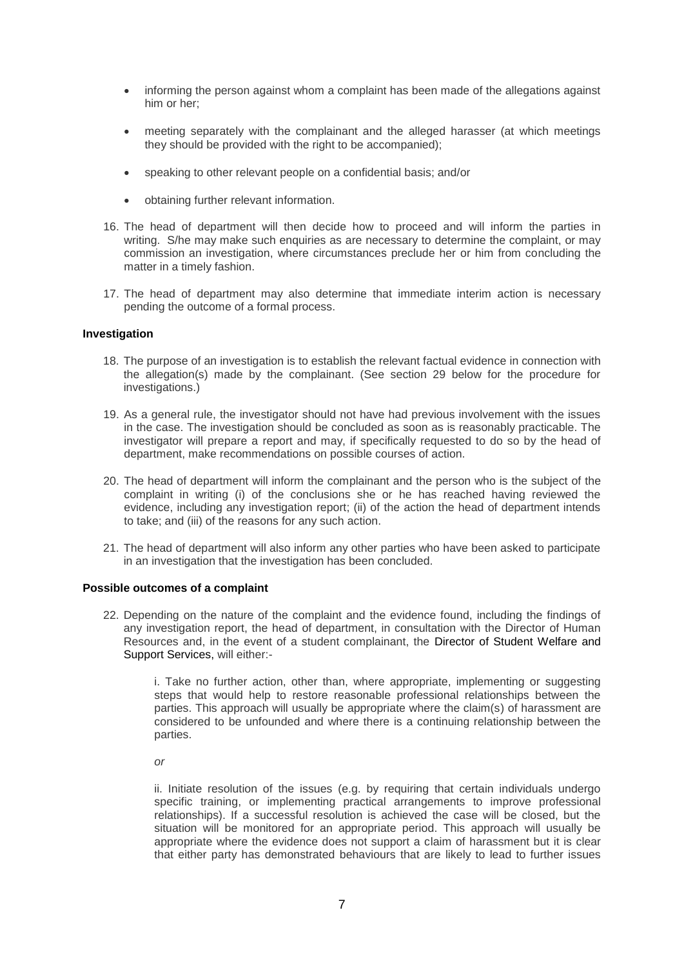- informing the person against whom a complaint has been made of the allegations against him or her;
- meeting separately with the complainant and the alleged harasser (at which meetings they should be provided with the right to be accompanied);
- speaking to other relevant people on a confidential basis; and/or
- obtaining further relevant information.
- 16. The head of department will then decide how to proceed and will inform the parties in writing. S/he may make such enquiries as are necessary to determine the complaint, or may commission an investigation, where circumstances preclude her or him from concluding the matter in a timely fashion.
- 17. The head of department may also determine that immediate interim action is necessary pending the outcome of a formal process.

#### **Investigation**

- 18. The purpose of an investigation is to establish the relevant factual evidence in connection with the allegation(s) made by the complainant. (See section 29 below for the procedure for investigations.)
- 19. As a general rule, the investigator should not have had previous involvement with the issues in the case. The investigation should be concluded as soon as is reasonably practicable. The investigator will prepare a report and may, if specifically requested to do so by the head of department, make recommendations on possible courses of action.
- 20. The head of department will inform the complainant and the person who is the subject of the complaint in writing (i) of the conclusions she or he has reached having reviewed the evidence, including any investigation report; (ii) of the action the head of department intends to take; and (iii) of the reasons for any such action.
- 21. The head of department will also inform any other parties who have been asked to participate in an investigation that the investigation has been concluded.

### **Possible outcomes of a complaint**

22. Depending on the nature of the complaint and the evidence found, including the findings of any investigation report, the head of department, in consultation with the Director of Human Resources and, in the event of a student complainant, the Director of Student Welfare and Support Services, will either:-

> i. Take no further action, other than, where appropriate, implementing or suggesting steps that would help to restore reasonable professional relationships between the parties. This approach will usually be appropriate where the claim(s) of harassment are considered to be unfounded and where there is a continuing relationship between the parties.

*or*

ii. Initiate resolution of the issues (e.g. by requiring that certain individuals undergo specific training, or implementing practical arrangements to improve professional relationships). If a successful resolution is achieved the case will be closed, but the situation will be monitored for an appropriate period. This approach will usually be appropriate where the evidence does not support a claim of harassment but it is clear that either party has demonstrated behaviours that are likely to lead to further issues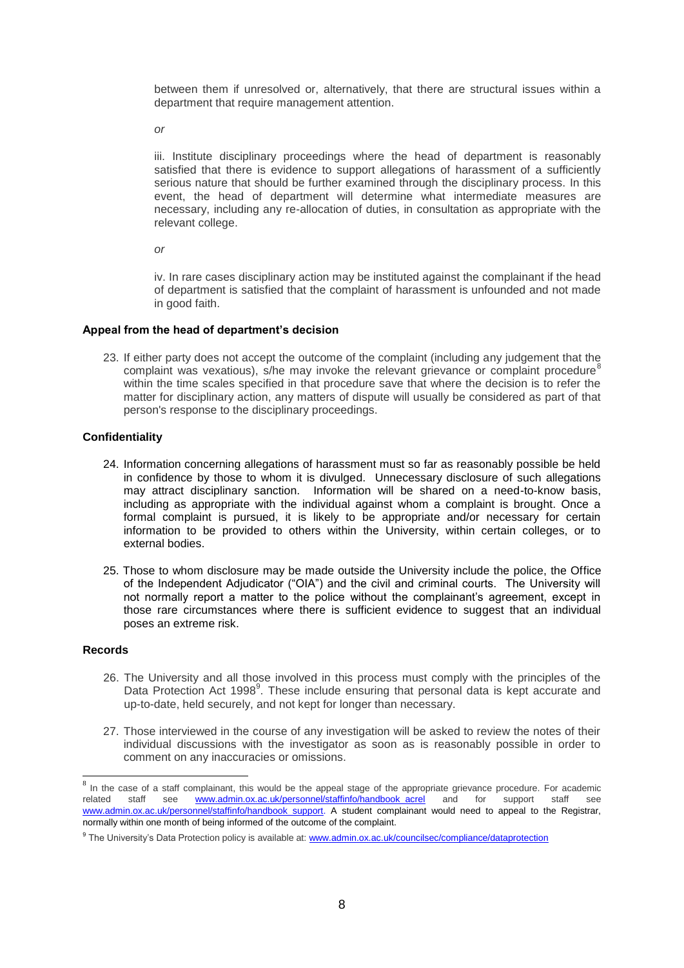between them if unresolved or, alternatively, that there are structural issues within a department that require management attention.

*or*

iii. Institute disciplinary proceedings where the head of department is reasonably satisfied that there is evidence to support allegations of harassment of a sufficiently serious nature that should be further examined through the disciplinary process. In this event, the head of department will determine what intermediate measures are necessary, including any re-allocation of duties, in consultation as appropriate with the relevant college.

*or*

iv. In rare cases disciplinary action may be instituted against the complainant if the head of department is satisfied that the complaint of harassment is unfounded and not made in good faith.

### **Appeal from the head of department's decision**

23. If either party does not accept the outcome of the complaint (including any judgement that the complaint was vexatious), s/he may invoke the relevant grievance or complaint procedure<sup>8</sup> within the time scales specified in that procedure save that where the decision is to refer the matter for disciplinary action, any matters of dispute will usually be considered as part of that person's response to the disciplinary proceedings.

### **Confidentiality**

- 24. Information concerning allegations of harassment must so far as reasonably possible be held in confidence by those to whom it is divulged. Unnecessary disclosure of such allegations may attract disciplinary sanction. Information will be shared on a need-to-know basis, including as appropriate with the individual against whom a complaint is brought. Once a formal complaint is pursued, it is likely to be appropriate and/or necessary for certain information to be provided to others within the University, within certain colleges, or to external bodies.
- 25. Those to whom disclosure may be made outside the University include the police, the Office of the Independent Adjudicator ("OIA") and the civil and criminal courts. The University will not normally report a matter to the police without the complainant's agreement, except in those rare circumstances where there is sufficient evidence to suggest that an individual poses an extreme risk.

### **Records**

- 26. The University and all those involved in this process must comply with the principles of the Data Protection Act 1998<sup>9</sup>. These include ensuring that personal data is kept accurate and up-to-date, held securely, and not kept for longer than necessary.
- 27. Those interviewed in the course of any investigation will be asked to review the notes of their individual discussions with the investigator as soon as is reasonably possible in order to comment on any inaccuracies or omissions.

<sup>&</sup>lt;u>met</u><br>In the case of a staff complainant, this would be the appeal stage of the appropriate grievance procedure. For academic related staff see www.admin.ox.ac.uk/personnel/staffinfo/handbook\_acrel and for support staff see www.admin.ox.ac.uk/personnel/staffinfo/handbook\_support. A student complainant would need to appeal to the Registrar, normally within one month of being informed of the outcome of the complaint.

<sup>&</sup>lt;sup>9</sup> The University's Data Protection policy is available at: [www.admin.ox.ac.uk/councilsec/compliance/dataprotection](http://www.admin.ox.ac.uk/councilsec/compliance/dataprotection)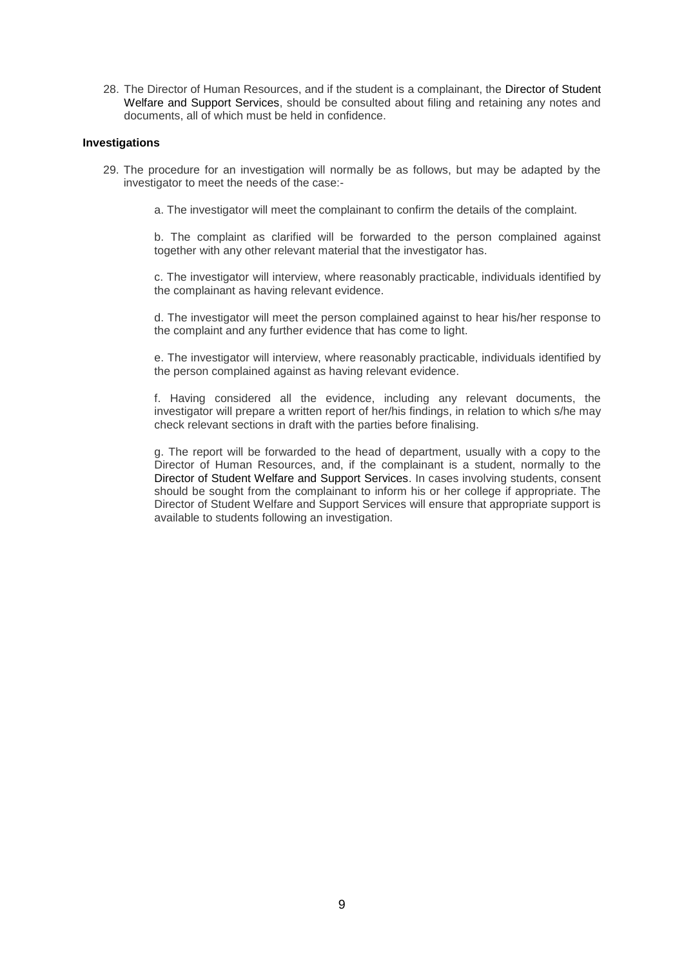28. The Director of Human Resources, and if the student is a complainant, the Director of Student Welfare and Support Services, should be consulted about filing and retaining any notes and documents, all of which must be held in confidence.

#### **Investigations**

- 29. The procedure for an investigation will normally be as follows, but may be adapted by the investigator to meet the needs of the case:
	- a. The investigator will meet the complainant to confirm the details of the complaint.

b. The complaint as clarified will be forwarded to the person complained against together with any other relevant material that the investigator has.

c. The investigator will interview, where reasonably practicable, individuals identified by the complainant as having relevant evidence.

d. The investigator will meet the person complained against to hear his/her response to the complaint and any further evidence that has come to light.

e. The investigator will interview, where reasonably practicable, individuals identified by the person complained against as having relevant evidence.

f. Having considered all the evidence, including any relevant documents, the investigator will prepare a written report of her/his findings, in relation to which s/he may check relevant sections in draft with the parties before finalising.

g. The report will be forwarded to the head of department, usually with a copy to the Director of Human Resources, and, if the complainant is a student, normally to the Director of Student Welfare and Support Services. In cases involving students, consent should be sought from the complainant to inform his or her college if appropriate. The Director of Student Welfare and Support Services will ensure that appropriate support is available to students following an investigation.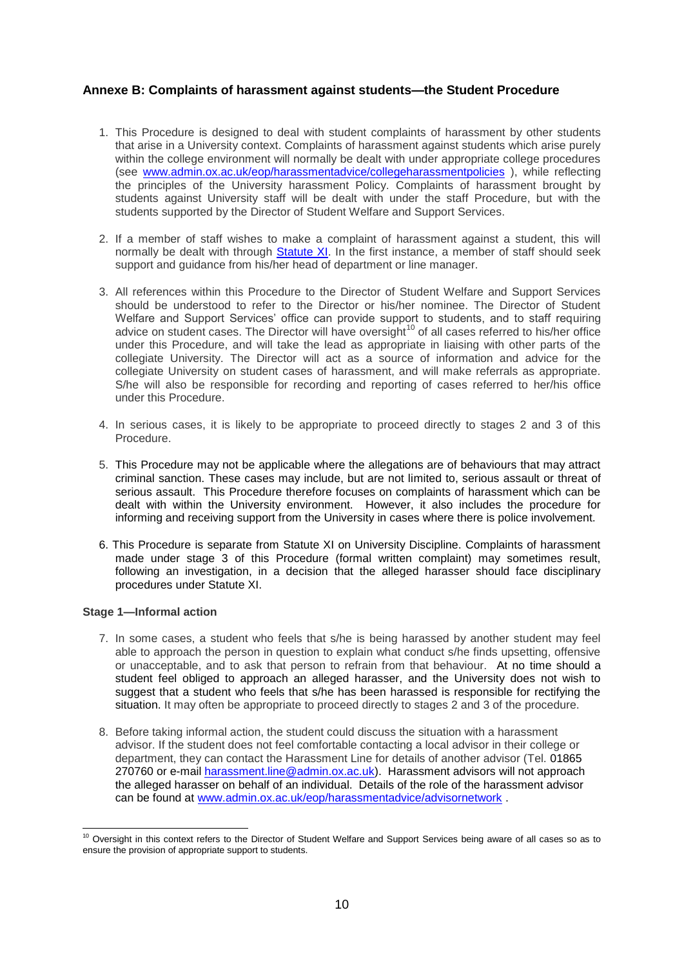# <span id="page-9-0"></span>**Annexe B: Complaints of harassment against students—the Student Procedure**

- 1. This Procedure is designed to deal with student complaints of harassment by other students that arise in a University context. Complaints of harassment against students which arise purely within the college environment will normally be dealt with under appropriate college procedures (see [www.admin.ox.ac.uk/eop/harassmentadvice/collegeharassmentpolicies](http://www.admin.ox.ac.uk/eop/harassmentadvice/collegeharassmentpolicies) ), while reflecting the principles of the University harassment Policy. Complaints of harassment brought by students against University staff will be dealt with under the staff Procedure, but with the students supported by the Director of Student Welfare and Support Services.
- 2. If a member of staff wishes to make a complaint of harassment against a student, this will normally be dealt with through [Statute XI.](http://www.admin.ox.ac.uk/statutes/352-051a.shtml#_Toc28142342) In the first instance, a member of staff should seek support and guidance from his/her head of department or line manager.
- 3. All references within this Procedure to the Director of Student Welfare and Support Services should be understood to refer to the Director or his/her nominee. The Director of Student Welfare and Support Services' office can provide support to students, and to staff requiring advice on student cases. The Director will have oversight<sup>10</sup> of all cases referred to his/her office under this Procedure, and will take the lead as appropriate in liaising with other parts of the collegiate University. The Director will act as a source of information and advice for the collegiate University on student cases of harassment, and will make referrals as appropriate. S/he will also be responsible for recording and reporting of cases referred to her/his office under this Procedure.
- 4. In serious cases, it is likely to be appropriate to proceed directly to stages 2 and 3 of this Procedure.
- 5. This Procedure may not be applicable where the allegations are of behaviours that may attract criminal sanction. These cases may include, but are not limited to, serious assault or threat of serious assault. This Procedure therefore focuses on complaints of harassment which can be dealt with within the University environment. However, it also includes the procedure for informing and receiving support from the University in cases where there is police involvement.
- 6. This Procedure is separate from Statute XI on University Discipline. Complaints of harassment made under stage 3 of this Procedure (formal written complaint) may sometimes result, following an investigation, in a decision that the alleged harasser should face disciplinary procedures under Statute XI.

### **Stage 1—Informal action**

- 7. In some cases, a student who feels that s/he is being harassed by another student may feel able to approach the person in question to explain what conduct s/he finds upsetting, offensive or unacceptable, and to ask that person to refrain from that behaviour. At no time should a student feel obliged to approach an alleged harasser, and the University does not wish to suggest that a student who feels that s/he has been harassed is responsible for rectifying the situation. It may often be appropriate to proceed directly to stages 2 and 3 of the procedure.
- 8. Before taking informal action, the student could discuss the situation with a harassment advisor. If the student does not feel comfortable contacting a local advisor in their college or department, they can contact the Harassment Line for details of another advisor (Tel. 01865 270760 or e-mail [harassment.line@admin.ox.ac.uk\)](mailto:harassment.line@admin.ox.ac.uk). Harassment advisors will not approach the alleged harasser on behalf of an individual. Details of the role of the harassment advisor can be found at [www.admin.ox.ac.uk/eop/harassmentadvice/advisornetwork](http://www.admin.ox.ac.uk/eop/harassmentadvice/advisornetwork) .

<sup>-</sup><sup>10</sup> Oversight in this context refers to the Director of Student Welfare and Support Services being aware of all cases so as to ensure the provision of appropriate support to students.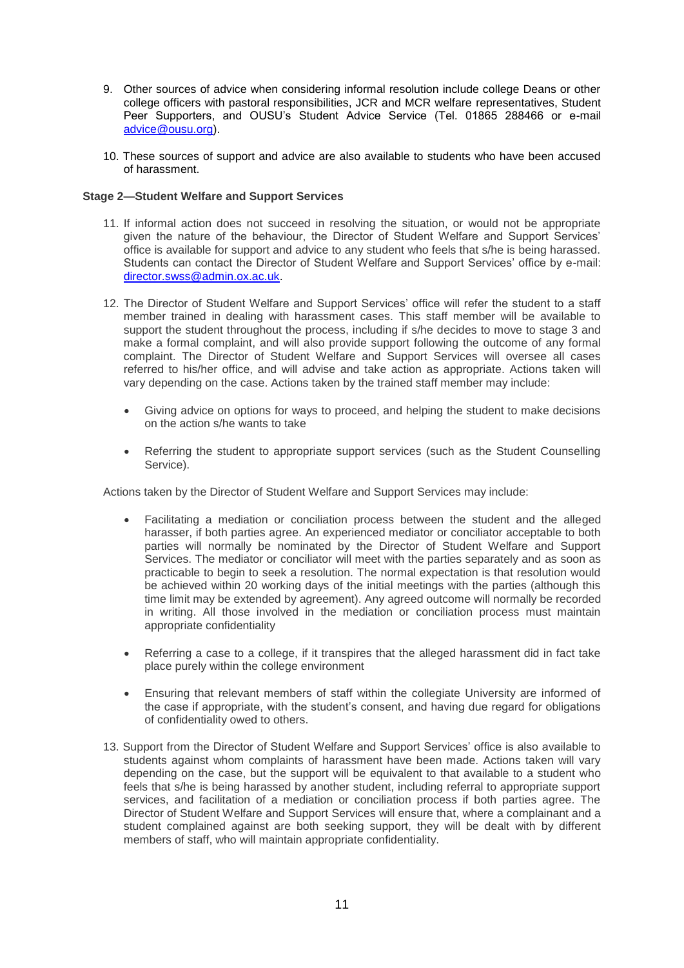- 9. Other sources of advice when considering informal resolution include college Deans or other college officers with pastoral responsibilities, JCR and MCR welfare representatives, Student Peer Supporters, and OUSU's Student Advice Service (Tel. 01865 288466 or e-mail [advice@ousu.org\)](mailto:advice@ousu.org).
- 10. These sources of support and advice are also available to students who have been accused of harassment.

# **Stage 2—Student Welfare and Support Services**

- 11. If informal action does not succeed in resolving the situation, or would not be appropriate given the nature of the behaviour, the Director of Student Welfare and Support Services' office is available for support and advice to any student who feels that s/he is being harassed. Students can contact the Director of Student Welfare and Support Services' office by e-mail: [director.swss@admin.ox.ac.uk.](mailto:director.swss@admin.ox.ac.uk)
- 12. The Director of Student Welfare and Support Services' office will refer the student to a staff member trained in dealing with harassment cases. This staff member will be available to support the student throughout the process, including if s/he decides to move to stage 3 and make a formal complaint, and will also provide support following the outcome of any formal complaint. The Director of Student Welfare and Support Services will oversee all cases referred to his/her office, and will advise and take action as appropriate. Actions taken will vary depending on the case. Actions taken by the trained staff member may include:
	- Giving advice on options for ways to proceed, and helping the student to make decisions on the action s/he wants to take
	- Referring the student to appropriate support services (such as the Student Counselling Service).

Actions taken by the Director of Student Welfare and Support Services may include:

- Facilitating a mediation or conciliation process between the student and the alleged harasser, if both parties agree. An experienced mediator or conciliator acceptable to both parties will normally be nominated by the Director of Student Welfare and Support Services. The mediator or conciliator will meet with the parties separately and as soon as practicable to begin to seek a resolution. The normal expectation is that resolution would be achieved within 20 working days of the initial meetings with the parties (although this time limit may be extended by agreement). Any agreed outcome will normally be recorded in writing. All those involved in the mediation or conciliation process must maintain appropriate confidentiality
- Referring a case to a college, if it transpires that the alleged harassment did in fact take place purely within the college environment
- Ensuring that relevant members of staff within the collegiate University are informed of the case if appropriate, with the student's consent, and having due regard for obligations of confidentiality owed to others.
- 13. Support from the Director of Student Welfare and Support Services' office is also available to students against whom complaints of harassment have been made. Actions taken will vary depending on the case, but the support will be equivalent to that available to a student who feels that s/he is being harassed by another student, including referral to appropriate support services, and facilitation of a mediation or conciliation process if both parties agree. The Director of Student Welfare and Support Services will ensure that, where a complainant and a student complained against are both seeking support, they will be dealt with by different members of staff, who will maintain appropriate confidentiality.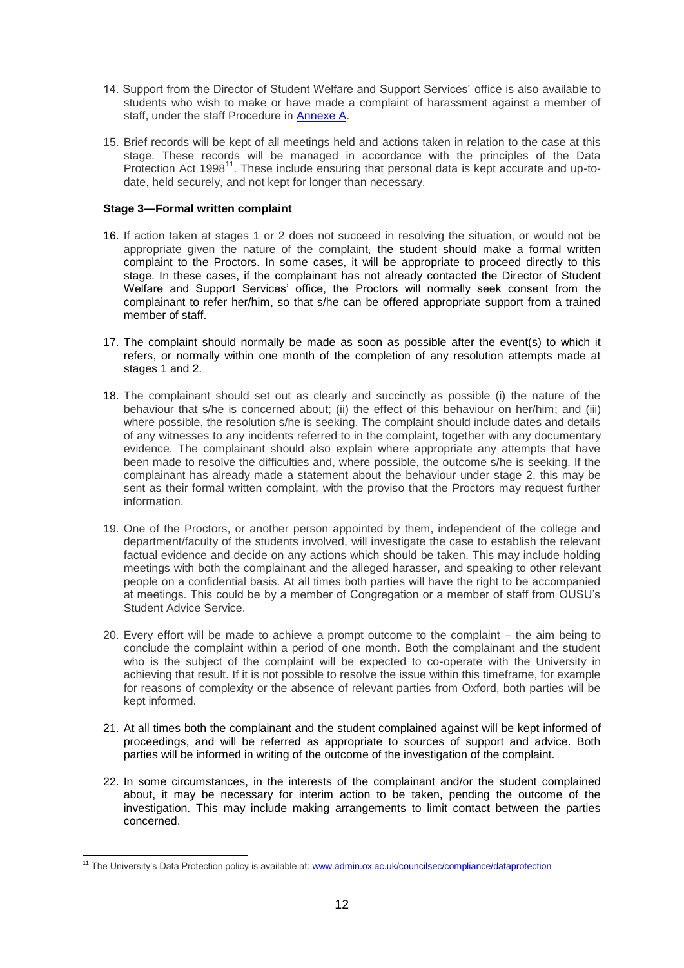- 14. Support from the Director of Student Welfare and Support Services' office is also available to students who wish to make or have made a complaint of harassment against a member of staff, under the staff Procedure in [Annexe A.](#page-4-0)
- 15. Brief records will be kept of all meetings held and actions taken in relation to the case at this stage. These records will be managed in accordance with the principles of the Data Protection Act  $1998<sup>11</sup>$ . These include ensuring that personal data is kept accurate and up-todate, held securely, and not kept for longer than necessary.

# **Stage 3—Formal written complaint**

- 16. If action taken at stages 1 or 2 does not succeed in resolving the situation, or would not be appropriate given the nature of the complaint, the student should make a formal written complaint to the Proctors. In some cases, it will be appropriate to proceed directly to this stage. In these cases, if the complainant has not already contacted the Director of Student Welfare and Support Services' office, the Proctors will normally seek consent from the complainant to refer her/him, so that s/he can be offered appropriate support from a trained member of staff.
- 17. The complaint should normally be made as soon as possible after the event(s) to which it refers, or normally within one month of the completion of any resolution attempts made at stages 1 and 2.
- 18. The complainant should set out as clearly and succinctly as possible (i) the nature of the behaviour that s/he is concerned about; (ii) the effect of this behaviour on her/him; and (iii) where possible, the resolution s/he is seeking. The complaint should include dates and details of any witnesses to any incidents referred to in the complaint, together with any documentary evidence. The complainant should also explain where appropriate any attempts that have been made to resolve the difficulties and, where possible, the outcome s/he is seeking. If the complainant has already made a statement about the behaviour under stage 2, this may be sent as their formal written complaint, with the proviso that the Proctors may request further information.
- 19. One of the Proctors, or another person appointed by them, independent of the college and department/faculty of the students involved, will investigate the case to establish the relevant factual evidence and decide on any actions which should be taken. This may include holding meetings with both the complainant and the alleged harasser, and speaking to other relevant people on a confidential basis. At all times both parties will have the right to be accompanied at meetings. This could be by a member of Congregation or a member of staff from OUSU's Student Advice Service.
- 20. Every effort will be made to achieve a prompt outcome to the complaint the aim being to conclude the complaint within a period of one month. Both the complainant and the student who is the subject of the complaint will be expected to co-operate with the University in achieving that result. If it is not possible to resolve the issue within this timeframe, for example for reasons of complexity or the absence of relevant parties from Oxford, both parties will be kept informed.
- 21. At all times both the complainant and the student complained against will be kept informed of proceedings, and will be referred as appropriate to sources of support and advice. Both parties will be informed in writing of the outcome of the investigation of the complaint.
- 22. In some circumstances, in the interests of the complainant and/or the student complained about, it may be necessary for interim action to be taken, pending the outcome of the investigation. This may include making arrangements to limit contact between the parties concerned.

<sup>&</sup>lt;sup>11</sup> The University's Data Protection policy is available at: [www.admin.ox.ac.uk/councilsec/compliance/dataprotection](http://www.admin.ox.ac.uk/councilsec/compliance/dataprotection)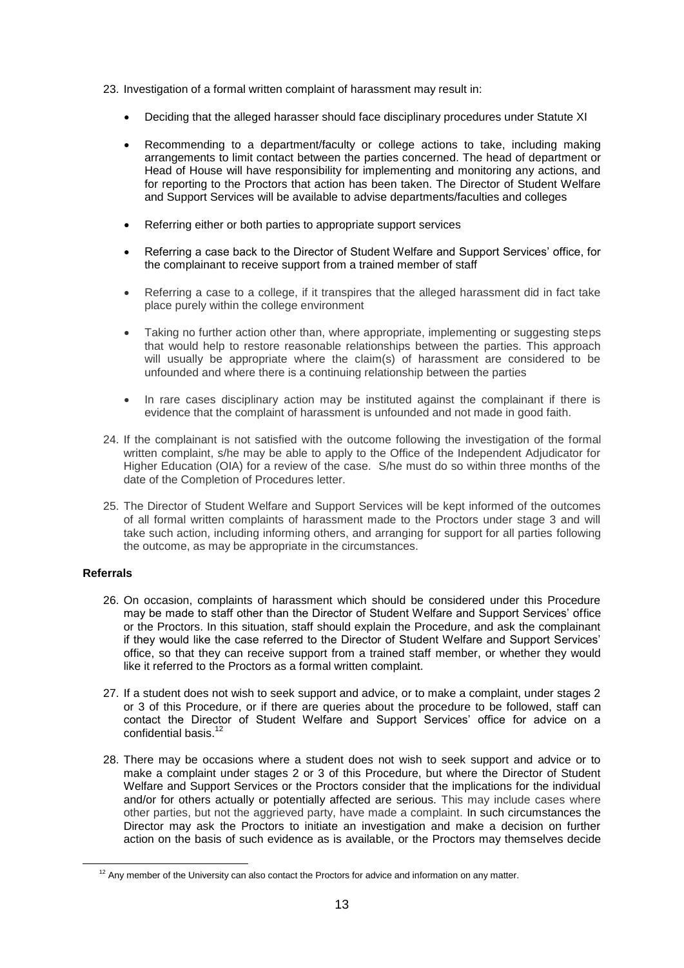- 23. Investigation of a formal written complaint of harassment may result in:
	- Deciding that the alleged harasser should face disciplinary procedures under Statute XI
	- Recommending to a department/faculty or college actions to take, including making arrangements to limit contact between the parties concerned. The head of department or Head of House will have responsibility for implementing and monitoring any actions, and for reporting to the Proctors that action has been taken. The Director of Student Welfare and Support Services will be available to advise departments/faculties and colleges
	- Referring either or both parties to appropriate support services
	- Referring a case back to the Director of Student Welfare and Support Services' office, for the complainant to receive support from a trained member of staff
	- Referring a case to a college, if it transpires that the alleged harassment did in fact take place purely within the college environment
	- Taking no further action other than, where appropriate, implementing or suggesting steps that would help to restore reasonable relationships between the parties. This approach will usually be appropriate where the claim(s) of harassment are considered to be unfounded and where there is a continuing relationship between the parties
	- In rare cases disciplinary action may be instituted against the complainant if there is evidence that the complaint of harassment is unfounded and not made in good faith.
- 24. If the complainant is not satisfied with the outcome following the investigation of the formal written complaint, s/he may be able to apply to the Office of the Independent Adjudicator for Higher Education (OIA) for a review of the case. S/he must do so within three months of the date of the Completion of Procedures letter.
- 25. The Director of Student Welfare and Support Services will be kept informed of the outcomes of all formal written complaints of harassment made to the Proctors under stage 3 and will take such action, including informing others, and arranging for support for all parties following the outcome, as may be appropriate in the circumstances.

# **Referrals**

 $\overline{a}$ 

- 26. On occasion, complaints of harassment which should be considered under this Procedure may be made to staff other than the Director of Student Welfare and Support Services' office or the Proctors. In this situation, staff should explain the Procedure, and ask the complainant if they would like the case referred to the Director of Student Welfare and Support Services' office, so that they can receive support from a trained staff member, or whether they would like it referred to the Proctors as a formal written complaint.
- 27. If a student does not wish to seek support and advice, or to make a complaint, under stages 2 or 3 of this Procedure, or if there are queries about the procedure to be followed, staff can contact the Director of Student Welfare and Support Services' office for advice on a confidential basis.<sup>1</sup>
- 28. There may be occasions where a student does not wish to seek support and advice or to make a complaint under stages 2 or 3 of this Procedure, but where the Director of Student Welfare and Support Services or the Proctors consider that the implications for the individual and/or for others actually or potentially affected are serious. This may include cases where other parties, but not the aggrieved party, have made a complaint. In such circumstances the Director may ask the Proctors to initiate an investigation and make a decision on further action on the basis of such evidence as is available, or the Proctors may themselves decide

 $12$  Any member of the University can also contact the Proctors for advice and information on any matter.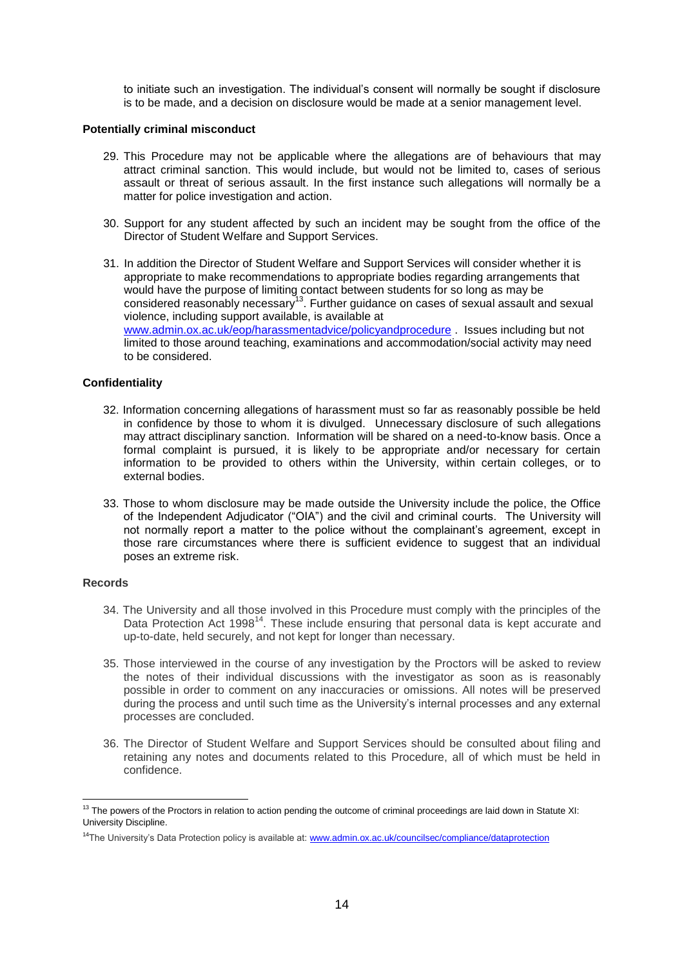to initiate such an investigation. The individual's consent will normally be sought if disclosure is to be made, and a decision on disclosure would be made at a senior management level.

#### **Potentially criminal misconduct**

- 29. This Procedure may not be applicable where the allegations are of behaviours that may attract criminal sanction. This would include, but would not be limited to, cases of serious assault or threat of serious assault. In the first instance such allegations will normally be a matter for police investigation and action.
- 30. Support for any student affected by such an incident may be sought from the office of the Director of Student Welfare and Support Services.
- 31. In addition the Director of Student Welfare and Support Services will consider whether it is appropriate to make recommendations to appropriate bodies regarding arrangements that would have the purpose of limiting contact between students for so long as may be considered reasonably necessary<sup>13</sup>. Further guidance on cases of sexual assault and sexual violence, including support available, is available at [www.admin.ox.ac.uk/eop/harassmentadvice/policyandprocedure](http://www.admin.ox.ac.uk/eop/harassmentadvice/policyandprocedure) . Issues including but not limited to those around teaching, examinations and accommodation/social activity may need to be considered.

# **Confidentiality**

- 32. Information concerning allegations of harassment must so far as reasonably possible be held in confidence by those to whom it is divulged. Unnecessary disclosure of such allegations may attract disciplinary sanction. Information will be shared on a need-to-know basis. Once a formal complaint is pursued, it is likely to be appropriate and/or necessary for certain information to be provided to others within the University, within certain colleges, or to external bodies.
- 33. Those to whom disclosure may be made outside the University include the police, the Office of the Independent Adjudicator ("OIA") and the civil and criminal courts. The University will not normally report a matter to the police without the complainant's agreement, except in those rare circumstances where there is sufficient evidence to suggest that an individual poses an extreme risk.

#### **Records**

- 34. The University and all those involved in this Procedure must comply with the principles of the Data Protection Act 1998<sup>14</sup>. These include ensuring that personal data is kept accurate and up-to-date, held securely, and not kept for longer than necessary.
- 35. Those interviewed in the course of any investigation by the Proctors will be asked to review the notes of their individual discussions with the investigator as soon as is reasonably possible in order to comment on any inaccuracies or omissions. All notes will be preserved during the process and until such time as the University's internal processes and any external processes are concluded.
- 36. The Director of Student Welfare and Support Services should be consulted about filing and retaining any notes and documents related to this Procedure, all of which must be held in confidence.

 $13$  The powers of the Proctors in relation to action pending the outcome of criminal proceedings are laid down in Statute XI: University Discipline.

<sup>&</sup>lt;sup>14</sup>The University's Data Protection policy is available at[: www.admin.ox.ac.uk/councilsec/compliance/dataprotection](http://www.admin.ox.ac.uk/councilsec/compliance/dataprotection)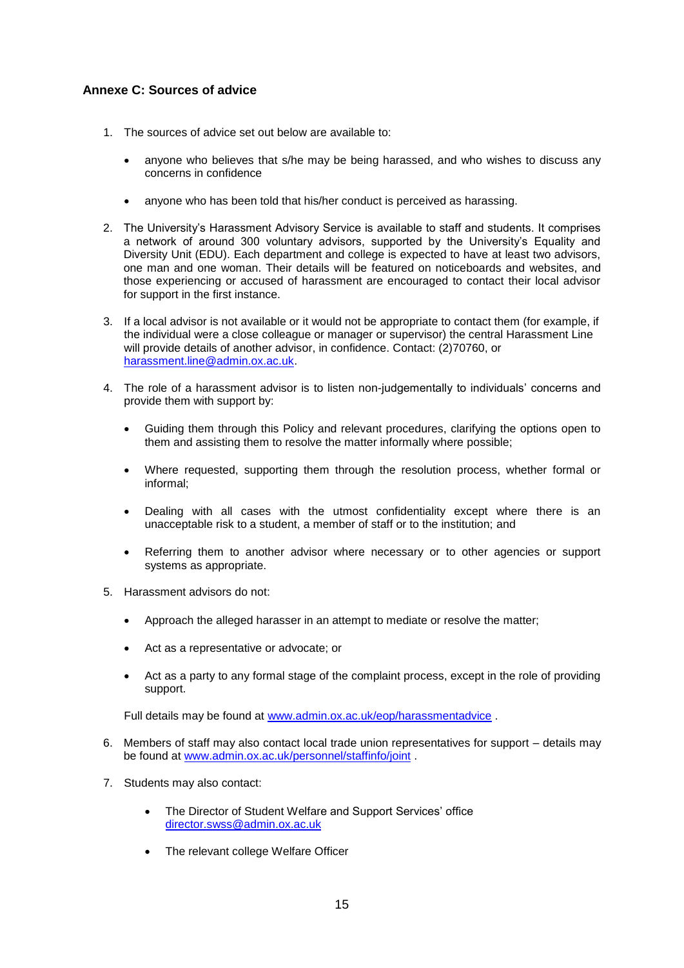# <span id="page-14-0"></span>**Annexe C: Sources of advice**

- 1. The sources of advice set out below are available to:
	- anyone who believes that s/he may be being harassed, and who wishes to discuss any concerns in confidence
	- anyone who has been told that his/her conduct is perceived as harassing.
- 2. The University's Harassment Advisory Service is available to staff and students. It comprises a network of around 300 voluntary advisors, supported by the University's Equality and Diversity Unit (EDU). Each department and college is expected to have at least two advisors, one man and one woman. Their details will be featured on noticeboards and websites, and those experiencing or accused of harassment are encouraged to contact their local advisor for support in the first instance.
- 3. If a local advisor is not available or it would not be appropriate to contact them (for example, if the individual were a close colleague or manager or supervisor) the central Harassment Line will provide details of another advisor, in confidence. Contact: (2)70760, or [harassment.line@admin.ox.ac.uk.](mailto:harassment.line@admin.ox.ac.uk)
- 4. The role of a harassment advisor is to listen non-judgementally to individuals' concerns and provide them with support by:
	- Guiding them through this Policy and relevant procedures, clarifying the options open to them and assisting them to resolve the matter informally where possible;
	- Where requested, supporting them through the resolution process, whether formal or informal;
	- Dealing with all cases with the utmost confidentiality except where there is an unacceptable risk to a student, a member of staff or to the institution; and
	- Referring them to another advisor where necessary or to other agencies or support systems as appropriate.
- 5. Harassment advisors do not:
	- Approach the alleged harasser in an attempt to mediate or resolve the matter;
	- Act as a representative or advocate; or
	- Act as a party to any formal stage of the complaint process, except in the role of providing support.

Full details may be found at [www.admin.ox.ac.uk/eop/harassmentadvice](http://www.admin.ox.ac.uk/eop/harassmentadvice) .

- 6. Members of staff may also contact local trade union representatives for support details may be found at [www.admin.ox.ac.uk/personnel/staffinfo/joint](http://www.admin.ox.ac.uk/personnel/staffinfo/joint) .
- 7. Students may also contact:
	- The Director of Student Welfare and Support Services' office [director.swss@admin.ox.ac.uk](mailto:director.swss@admin.ox.ac.uk)
	- The relevant college Welfare Officer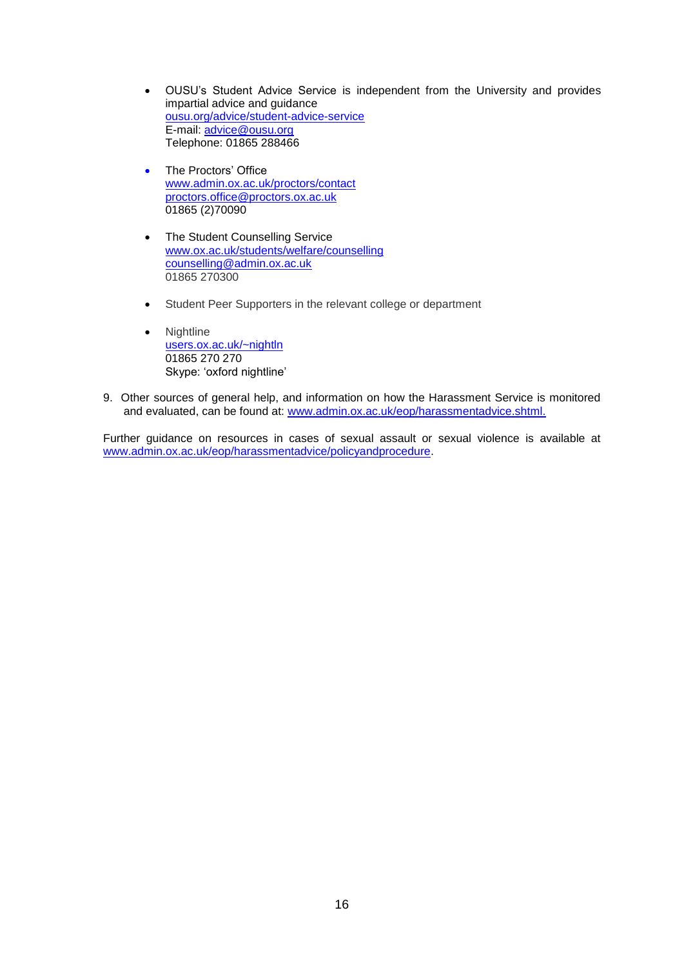- OUSU's Student Advice Service is independent from the University and provides impartial advice and guidance [ousu.org/advice/student-advice-service](http://ousu.org/advice/student-advice-service/) E-mail: [advice@ousu.org](mailto:advice@ousu.org) Telephone: 01865 288466
- The Proctors' Office [www.admin.ox.ac.uk/proctors/contact](http://www.admin.ox.ac.uk/proctors/contact) [proctors.office@proctors.ox.ac.uk](mailto:proctors.office@proctors.ox.ac.uk) 01865 (2)70090
- The Student Counselling Service [www.ox.ac.uk/students/welfare/counselling](http://www.ox.ac.uk/students/welfare/counselling) [counselling@admin.ox.ac.uk](mailto:counselling@admin.ox.ac.uk) 01865 270300
- Student Peer Supporters in the relevant college or department
- Nightline [users.ox.ac.uk/~nightln](http://users.ox.ac.uk/~nightln/) 01865 270 270 Skype: 'oxford nightline'
- 9. Other sources of general help, and information on how the Harassment Service is monitored and evaluated, can be found at: [www.admin.ox.ac.uk/eop/harassmentadvice.shtml.](http://www.admin.ox.ac.uk/eop/harassmentadvice.shtml)

Further guidance on resources in cases of sexual assault or sexual violence is available at [www.admin.ox.ac.uk/eop/harassmentadvice/policyandprocedure.](http://www.admin.ox.ac.uk/eop/harassmentadvice/policyandprocedure)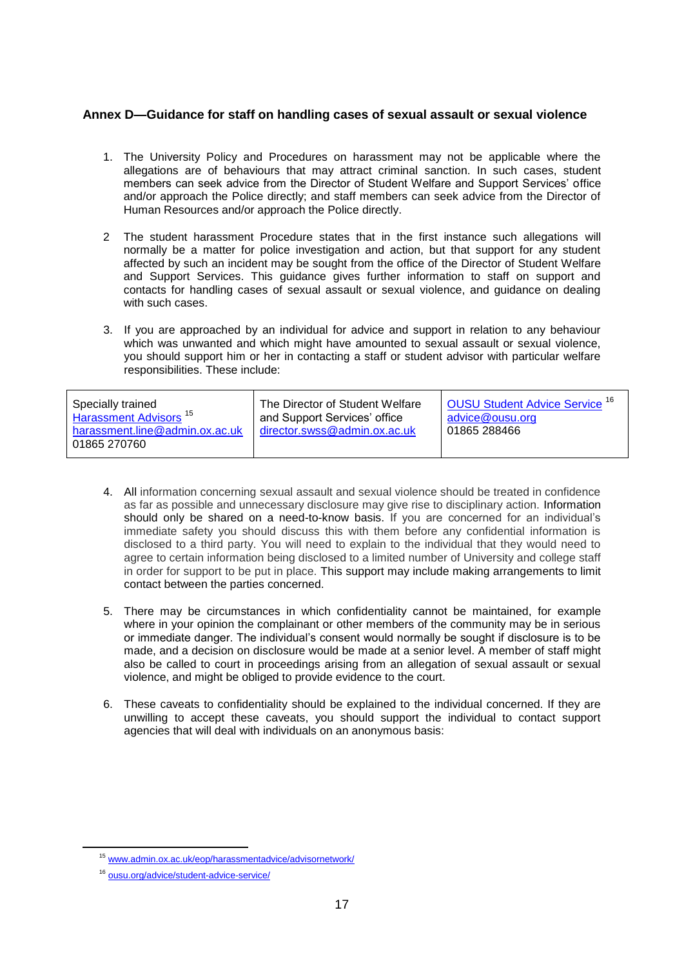# **Annex D—Guidance for staff on handling cases of sexual assault or sexual violence**

- 1. The University Policy and Procedures on harassment may not be applicable where the allegations are of behaviours that may attract criminal sanction. In such cases, student members can seek advice from the Director of Student Welfare and Support Services' office and/or approach the Police directly; and staff members can seek advice from the Director of Human Resources and/or approach the Police directly.
- 2 The student harassment Procedure states that in the first instance such allegations will normally be a matter for police investigation and action, but that support for any student affected by such an incident may be sought from the office of the Director of Student Welfare and Support Services. This guidance gives further information to staff on support and contacts for handling cases of sexual assault or sexual violence, and guidance on dealing with such cases.
- 3. If you are approached by an individual for advice and support in relation to any behaviour which was unwanted and which might have amounted to sexual assault or sexual violence, you should support him or her in contacting a staff or student advisor with particular welfare responsibilities. These include:

- 4. All information concerning sexual assault and sexual violence should be treated in confidence as far as possible and unnecessary disclosure may give rise to disciplinary action. Information should only be shared on a need-to-know basis. If you are concerned for an individual's immediate safety you should discuss this with them before any confidential information is disclosed to a third party. You will need to explain to the individual that they would need to agree to certain information being disclosed to a limited number of University and college staff in order for support to be put in place. This support may include making arrangements to limit contact between the parties concerned.
- 5. There may be circumstances in which confidentiality cannot be maintained, for example where in your opinion the complainant or other members of the community may be in serious or immediate danger. The individual's consent would normally be sought if disclosure is to be made, and a decision on disclosure would be made at a senior level. A member of staff might also be called to court in proceedings arising from an allegation of sexual assault or sexual violence, and might be obliged to provide evidence to the court.
- 6. These caveats to confidentiality should be explained to the individual concerned. If they are unwilling to accept these caveats, you should support the individual to contact support agencies that will deal with individuals on an anonymous basis:

<sup>15</sup> [www.admin.ox.ac.uk/eop/harassmentadvice/advisornetwork/](file:///C:/Users/admn1831/AppData/Local/Microsoft/Windows/Temporary%20Internet%20Files/Content.Outlook/QWQWWM4Z/www.admin.ox.ac.uk/eop/harassmentadvice/advisornetwork/)

<sup>16</sup> [ousu.org/advice/student-advice-service/](http://ousu.org/advice/student-advice-service/)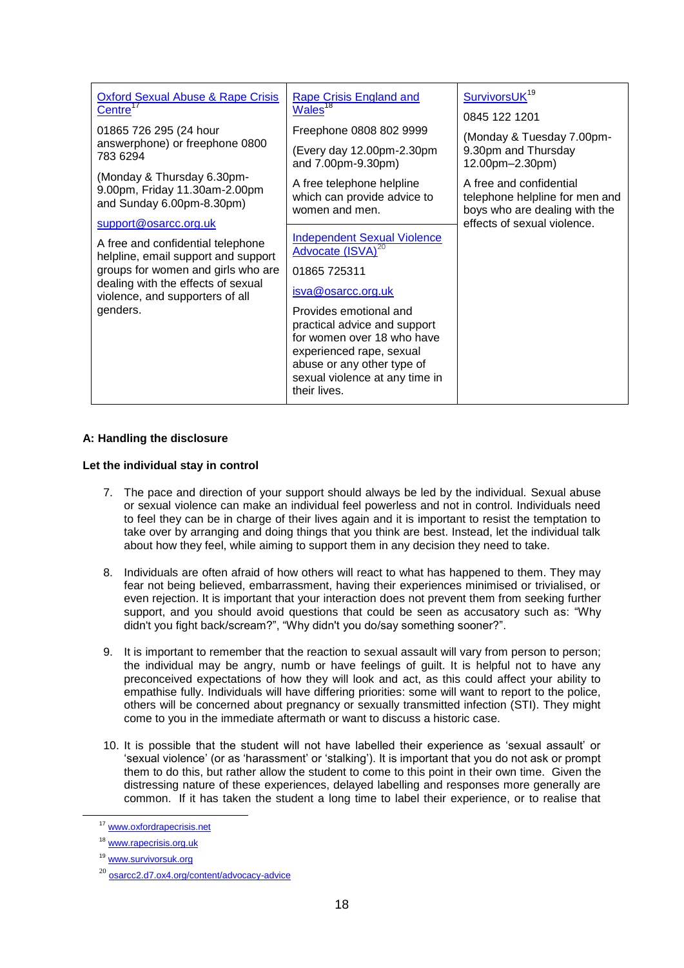| <b>Oxford Sexual Abuse &amp; Rape Crisis</b><br>Centre <sup>17</sup>                                                                                                                                | <b>Rape Crisis England and</b><br>Wales <sup>18</sup>                                                                                                                                            | SurvivorsUK <sup>19</sup><br>0845 122 1201                                                                                |
|-----------------------------------------------------------------------------------------------------------------------------------------------------------------------------------------------------|--------------------------------------------------------------------------------------------------------------------------------------------------------------------------------------------------|---------------------------------------------------------------------------------------------------------------------------|
| 01865 726 295 (24 hour<br>answerphone) or freephone 0800<br>783 6294                                                                                                                                | Freephone 0808 802 9999<br>(Every day 12.00pm-2.30pm)<br>and 7.00pm-9.30pm)                                                                                                                      | (Monday & Tuesday 7.00pm-<br>9.30pm and Thursday<br>12.00pm-2.30pm)                                                       |
| (Monday & Thursday 6.30pm-<br>9.00pm, Friday 11.30am-2.00pm<br>and Sunday 6.00pm-8.30pm)<br>support@osarcc.org.uk                                                                                   | A free telephone helpline<br>which can provide advice to<br>women and men.                                                                                                                       | A free and confidential<br>telephone helpline for men and<br>boys who are dealing with the<br>effects of sexual violence. |
| A free and confidential telephone<br>helpline, email support and support<br>groups for women and girls who are<br>dealing with the effects of sexual<br>violence, and supporters of all<br>genders. | <b>Independent Sexual Violence</b><br>Advocate (ISVA) <sup>20</sup><br>01865 725311<br>isva@osarcc.org.uk                                                                                        |                                                                                                                           |
|                                                                                                                                                                                                     | Provides emotional and<br>practical advice and support<br>for women over 18 who have<br>experienced rape, sexual<br>abuse or any other type of<br>sexual violence at any time in<br>their lives. |                                                                                                                           |

# **A: Handling the disclosure**

#### **Let the individual stay in control**

- 7. The pace and direction of your support should always be led by the individual. Sexual abuse or sexual violence can make an individual feel powerless and not in control. Individuals need to feel they can be in charge of their lives again and it is important to resist the temptation to take over by arranging and doing things that you think are best. Instead, let the individual talk about how they feel, while aiming to support them in any decision they need to take.
- 8. Individuals are often afraid of how others will react to what has happened to them. They may fear not being believed, embarrassment, having their experiences minimised or trivialised, or even rejection. It is important that your interaction does not prevent them from seeking further support, and you should avoid questions that could be seen as accusatory such as: "Why didn't you fight back/scream?", "Why didn't you do/say something sooner?".
- 9. It is important to remember that the reaction to sexual assault will vary from person to person; the individual may be angry, numb or have feelings of guilt. It is helpful not to have any preconceived expectations of how they will look and act, as this could affect your ability to empathise fully. Individuals will have differing priorities: some will want to report to the police, others will be concerned about pregnancy or sexually transmitted infection (STI). They might come to you in the immediate aftermath or want to discuss a historic case.
- 10. It is possible that the student will not have labelled their experience as 'sexual assault' or 'sexual violence' (or as 'harassment' or 'stalking'). It is important that you do not ask or prompt them to do this, but rather allow the student to come to this point in their own time. Given the distressing nature of these experiences, delayed labelling and responses more generally are common. If it has taken the student a long time to label their experience, or to realise that

<sup>17</sup> [www.oxfordrapecrisis.net](file:///C:/Users/admn1831/AppData/Local/Microsoft/Windows/Temporary%20Internet%20Files/Content.Outlook/QWQWWM4Z/www.oxfordrapecrisis.net)

<sup>18</sup> [www.rapecrisis.org.uk](http://www.rapecrisis.org.uk/)

<sup>&</sup>lt;sup>19</sup> [www.survivorsuk.org](http://www.survivorsuk.org/)

<sup>20</sup> [osarcc2.d7.ox4.org/content/advocacy-advice](http://osarcc2.d7.ox4.org/content/advocacy-advice)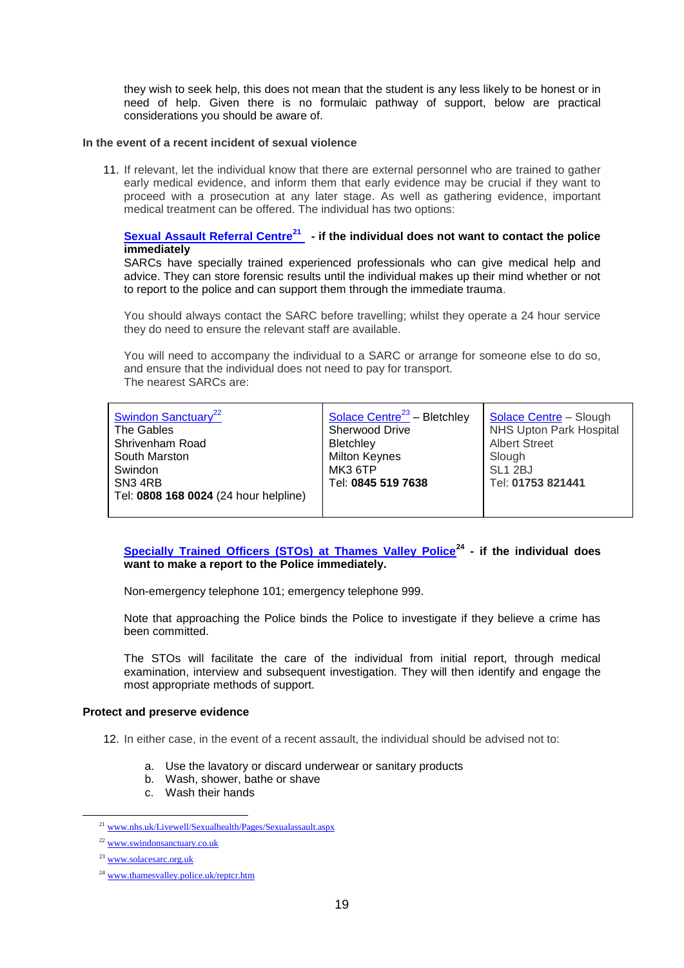they wish to seek help, this does not mean that the student is any less likely to be honest or in need of help. Given there is no formulaic pathway of support, below are practical considerations you should be aware of.

#### **In the event of a recent incident of sexual violence**

11. If relevant, let the individual know that there are external personnel who are trained to gather early medical evidence, and inform them that early evidence may be crucial if they want to proceed with a prosecution at any later stage. As well as gathering evidence, important medical treatment can be offered. The individual has two options:

### **[Sexual Assault Referral Centre](http://www.nhs.uk/Livewell/Sexualhealth/Pages/Sexualassault.aspx)<sup>21</sup> - if the individual does not want to contact the police immediately**

SARCs have specially trained experienced professionals who can give medical help and advice. They can store forensic results until the individual makes up their mind whether or not to report to the police and can support them through the immediate trauma.

You should always contact the SARC before travelling; whilst they operate a 24 hour service they do need to ensure the relevant staff are available.

You will need to accompany the individual to a SARC or arrange for someone else to do so, and ensure that the individual does not need to pay for transport. The nearest SARCs are:

| Swindon Sanctuary <sup>22</sup>       | <b>Solace Centre</b> <sup>23</sup> - Bletchley | <b>Solace Centre - Slough</b>  |
|---------------------------------------|------------------------------------------------|--------------------------------|
| The Gables                            | Sherwood Drive                                 | <b>NHS Upton Park Hospital</b> |
| Shrivenham Road                       | <b>Bletchley</b>                               | <b>Albert Street</b>           |
| South Marston                         | <b>Milton Keynes</b>                           | Slough                         |
| Swindon                               | <b>MK3 6TP</b>                                 | SL <sub>1</sub> 2BJ            |
| SN <sub>3</sub> 4RB                   | Tel: 0845 519 7638                             | Tel: 01753 821441              |
| Tel: 0808 168 0024 (24 hour helpline) |                                                |                                |
|                                       |                                                |                                |

# **[Specially Trained Officers \(STOs\) at Thames Valley Police](http://www.thamesvalley.police.uk/reptcr.htm)<sup>24</sup> - if the individual does want to make a report to the Police immediately.**

Non-emergency telephone 101; emergency telephone 999.

Note that approaching the Police binds the Police to investigate if they believe a crime has been committed.

The STOs will facilitate the care of the individual from initial report, through medical examination, interview and subsequent investigation. They will then identify and engage the most appropriate methods of support.

#### **[Protect and preserve evidence](http://www.thamesvalley.police.uk/crprev/crprev/crprev-pers/crprev-pers-sexualassault/crprev-pers-sexualassault-ssa/crprev-pers-sexualassault-ssa-inv.htm)**

12. In either case, in the event of a recent assault, the individual should be advised not to:

- a. Use the lavatory or discard underwear or sanitary products
- b. Wash, shower, bathe or shave
- c. Wash their hands

<sup>21</sup> [www.nhs.uk/Livewell/Sexualhealth/Pages/Sexualassault.aspx](file:///C:/Users/admn1831/AppData/Local/Microsoft/Windows/Temporary%20Internet%20Files/Content.Outlook/QWQWWM4Z/www.nhs.uk/Livewell/Sexualhealth/Pages/Sexualassault.aspx)

<sup>22</sup> [www.swindonsanctuary.co.uk](http://www.swindonsanctuary.co.uk/)

<sup>23</sup> [www.solacesarc.org.uk](http://www.solacesarc.org.uk/)

<sup>24</sup> [www.thamesvalley.police.uk/reptcr.htm](file:///C:/Users/admn1831/AppData/Local/Microsoft/Windows/Temporary%20Internet%20Files/Content.Outlook/QWQWWM4Z/www.thamesvalley.police.uk/reptcr.htm)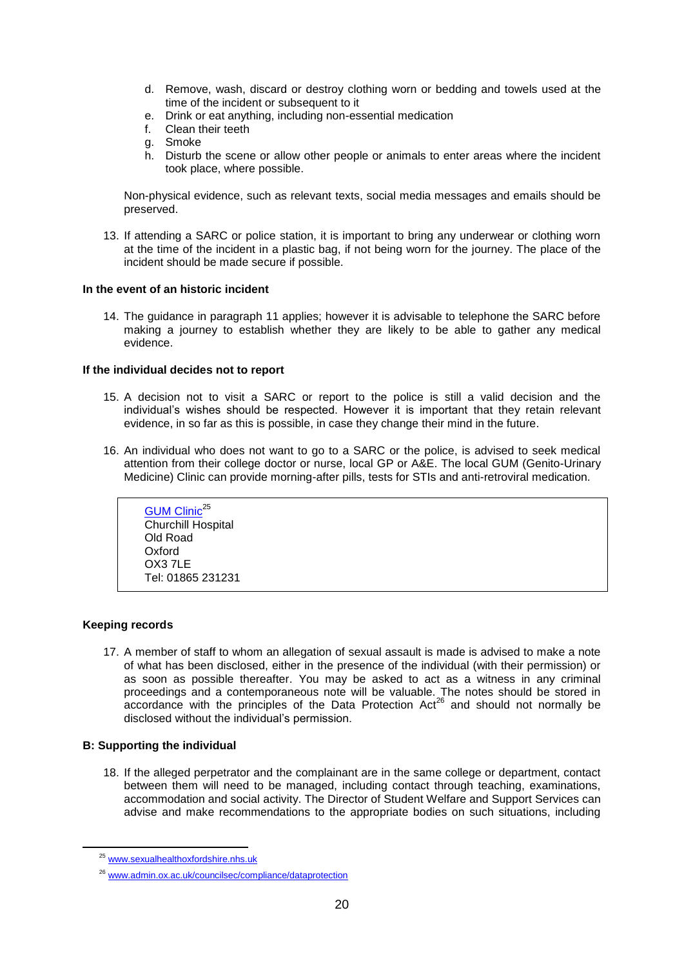- d. Remove, wash, discard or destroy clothing worn or bedding and towels used at the time of the incident or subsequent to it
- e. Drink or eat anything, including non-essential medication
- f. Clean their teeth
- g. Smoke
- h. Disturb the scene or allow other people or animals to enter areas where the incident took place, where possible.

Non-physical evidence, such as relevant texts, social media messages and emails should be preserved.

13. If attending a SARC or police station, it is important to bring any underwear or clothing worn at the time of the incident in a plastic bag, if not being worn for the journey. The place of the incident should be made secure if possible.

#### **In the event of an historic incident**

14. The guidance in paragraph 11 applies; however it is advisable to telephone the SARC before making a journey to establish whether they are likely to be able to gather any medical evidence.

### **If the individual decides not to report**

- 15. A decision not to visit a SARC or report to the police is still a valid decision and the individual's wishes should be respected. However it is important that they retain relevant evidence, in so far as this is possible, in case they change their mind in the future.
- 16. An individual who does not want to go to a SARC or the police, is advised to seek medical attention from their college doctor or nurse, local GP or A&E. The local GUM (Genito-Urinary Medicine) Clinic can provide morning-after pills, tests for STIs and anti-retroviral medication.

**[GUM Clinic](http://www.sexualhealthoxfordshire.nhs.uk/)<sup>25</sup>** Churchill Hospital Old Road Oxford OX3 7LE Tel: 01865 231231

# **Keeping records**

-

17. A member of staff to whom an allegation of sexual assault is made is advised to make a note of what has been disclosed, either in the presence of the individual (with their permission) or as soon as possible thereafter. You may be asked to act as a witness in any criminal proceedings and a contemporaneous note will be valuable. The notes should be stored in  $\alpha$  accordance with the principles of the Data Protection Act<sup>26</sup> and should not normally be disclosed without the individual's permission.

# **B: Supporting the individual**

18. If the alleged perpetrator and the complainant are in the same college or department, contact between them will need to be managed, including contact through teaching, examinations, accommodation and social activity. The Director of Student Welfare and Support Services can advise and make recommendations to the appropriate bodies on such situations, including

<sup>25</sup> [www.sexualhealthoxfordshire.nhs.uk](http://www.sexualhealthoxfordshire.nhs.uk/)

<sup>26</sup> [www.admin.ox.ac.uk/councilsec/compliance/dataprotection](http://www.admin.ox.ac.uk/councilsec/compliance/dataprotection)